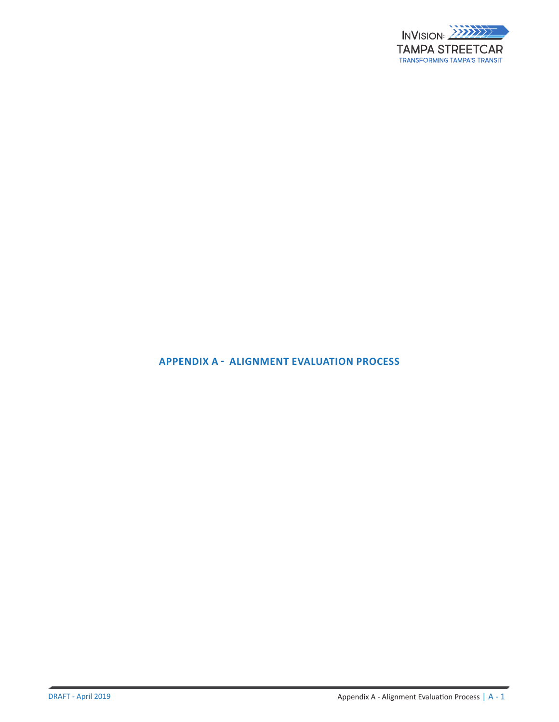

## **APPENDIX A - ALIGNMENT EVALUATION PROCESS**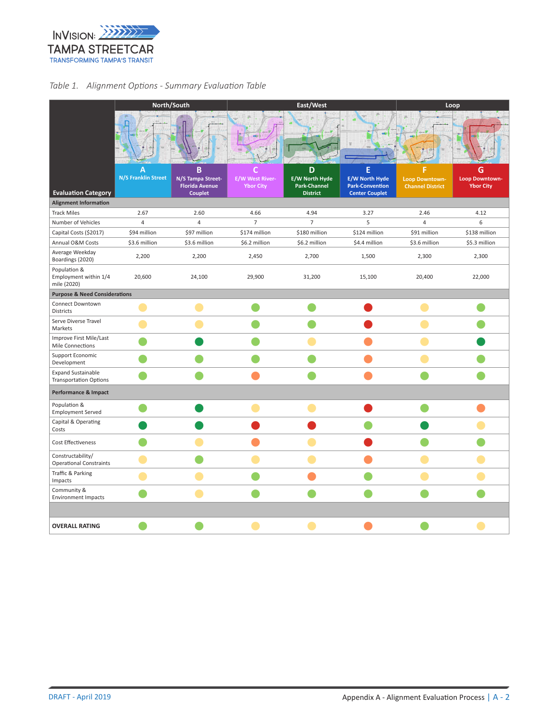

## *Table 1. Alignment Options - Summary Evaluation Table*

|                                                            | North/South         |                                                                   |                                            | East/West                                                     | Loop                                                                          |                                           |                                         |  |  |  |  |
|------------------------------------------------------------|---------------------|-------------------------------------------------------------------|--------------------------------------------|---------------------------------------------------------------|-------------------------------------------------------------------------------|-------------------------------------------|-----------------------------------------|--|--|--|--|
|                                                            |                     |                                                                   |                                            |                                                               |                                                                               |                                           |                                         |  |  |  |  |
| <b>Evaluation Category</b>                                 | N/S Franklin Street | B<br>N/S Tampa Street-<br><b>Florida Avenue</b><br><b>Couplet</b> | <b>E/W West River-</b><br><b>Ybor City</b> | D<br>E/W North Hyde<br><b>Park-Channel</b><br><b>District</b> | E<br><b>E/W North Hyde</b><br><b>Park-Convention</b><br><b>Center Couplet</b> | Loop Downtown-<br><b>Channel District</b> | G<br>Loop Downtown-<br><b>Ybor City</b> |  |  |  |  |
| <b>Alignment Information</b>                               |                     |                                                                   |                                            |                                                               |                                                                               |                                           |                                         |  |  |  |  |
| <b>Track Miles</b>                                         | 2.67                | 2.60                                                              | 4.66                                       | 4.94                                                          | 3.27                                                                          | 2.46                                      | 4.12                                    |  |  |  |  |
| Number of Vehicles                                         | $\overline{4}$      | 4                                                                 | $\overline{7}$                             | $\overline{7}$                                                | 5                                                                             | 4                                         | 6                                       |  |  |  |  |
| Capital Costs (\$2017)                                     | \$94 million        | \$97 million                                                      | \$174 million                              | \$180 million                                                 | \$124 million                                                                 | \$91 million                              | \$138 million                           |  |  |  |  |
| Annual O&M Costs                                           | \$3.6 million       | \$3.6 million                                                     | \$6.2 million                              | \$6.2 million                                                 | \$4.4 million                                                                 | \$3.6 million                             | \$5.3 million                           |  |  |  |  |
| Average Weekday<br>Boardings (2020)                        | 2,200               | 2,200                                                             | 2,450                                      | 2,700                                                         | 1,500                                                                         | 2,300                                     | 2,300                                   |  |  |  |  |
| Population &<br>Employment within 1/4<br>mile (2020)       | 20,600              | 24,100                                                            | 29,900                                     | 31,200                                                        | 15,100                                                                        | 20,400                                    | 22,000                                  |  |  |  |  |
| <b>Purpose &amp; Need Considerations</b>                   |                     |                                                                   |                                            |                                                               |                                                                               |                                           |                                         |  |  |  |  |
| Connect Downtown<br><b>Districts</b>                       |                     |                                                                   |                                            |                                                               |                                                                               |                                           |                                         |  |  |  |  |
| Serve Diverse Travel<br>Markets                            |                     |                                                                   |                                            |                                                               |                                                                               |                                           |                                         |  |  |  |  |
| Improve First Mile/Last<br>Mile Connections                |                     |                                                                   |                                            |                                                               |                                                                               |                                           |                                         |  |  |  |  |
| Support Economic<br>Development                            |                     |                                                                   |                                            |                                                               |                                                                               |                                           |                                         |  |  |  |  |
| <b>Expand Sustainable</b><br><b>Transportation Options</b> |                     |                                                                   |                                            |                                                               |                                                                               |                                           |                                         |  |  |  |  |
| Performance & Impact                                       |                     |                                                                   |                                            |                                                               |                                                                               |                                           |                                         |  |  |  |  |
| Population &<br><b>Employment Served</b>                   |                     |                                                                   |                                            |                                                               |                                                                               |                                           |                                         |  |  |  |  |
| Capital & Operating<br>Costs                               |                     |                                                                   |                                            |                                                               |                                                                               |                                           |                                         |  |  |  |  |
| Cost Effectiveness                                         |                     |                                                                   |                                            |                                                               |                                                                               |                                           |                                         |  |  |  |  |
| Constructability/<br><b>Operational Constraints</b>        |                     |                                                                   |                                            |                                                               |                                                                               |                                           |                                         |  |  |  |  |
| Traffic & Parking<br>Impacts                               |                     |                                                                   |                                            |                                                               |                                                                               |                                           |                                         |  |  |  |  |
| Community &<br><b>Environment Impacts</b>                  |                     |                                                                   |                                            |                                                               |                                                                               |                                           |                                         |  |  |  |  |
|                                                            |                     |                                                                   |                                            |                                                               |                                                                               |                                           |                                         |  |  |  |  |
| <b>OVERALL RATING</b>                                      |                     |                                                                   |                                            |                                                               |                                                                               |                                           |                                         |  |  |  |  |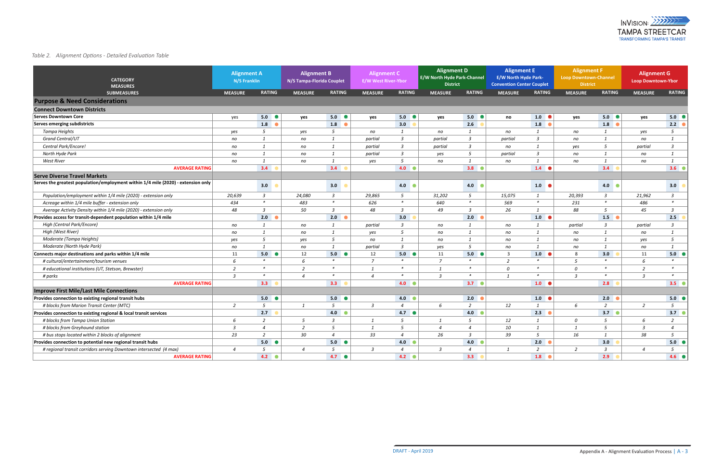## **Appendix A - Detailed Evaluation Table** *Table 2. Alignment Options - Detailed Evaluation Table*

| <b>CATEGORY</b><br><b>MEASURES</b>                                                  | <b>Alignment A</b><br>N/S Franklin |                  | <b>Alignment B</b><br>N/S Tampa-Florida Couplet |                         | <b>Alignment C</b><br><b>E/W West River-Ybor</b> |                 | <b>Alignment D</b><br>E/W North Hyde Park-Channel<br><b>District</b> |                 | <b>Alignment E</b><br><b>E/W North Hyde Park-</b><br><b>Convention Center Couplet</b> |                   | <b>Alignment F</b><br>Loop Downtown-Channel<br><b>District</b> |                         | <b>Alignment G</b><br><b>Loop Downtown-Ybor</b> |                  |
|-------------------------------------------------------------------------------------|------------------------------------|------------------|-------------------------------------------------|-------------------------|--------------------------------------------------|-----------------|----------------------------------------------------------------------|-----------------|---------------------------------------------------------------------------------------|-------------------|----------------------------------------------------------------|-------------------------|-------------------------------------------------|------------------|
| <b>SUBMEASURES</b>                                                                  | <b>MEASURE</b>                     | <b>RATING</b>    | <b>MEASURE</b>                                  | <b>RATING</b>           | <b>MEASURE</b>                                   | <b>RATING</b>   | <b>MEASURE</b>                                                       | <b>RATING</b>   | <b>MEASURE</b>                                                                        | <b>RATING</b>     | <b>MEASURE</b>                                                 | <b>RATING</b>           | <b>MEASURE</b>                                  | <b>RATING</b>    |
| <b>Purpose &amp; Need Considerations</b>                                            |                                    |                  |                                                 |                         |                                                  |                 |                                                                      |                 |                                                                                       |                   |                                                                |                         |                                                 |                  |
| <b>Connect Downtown Districts</b>                                                   |                                    |                  |                                                 |                         |                                                  |                 |                                                                      |                 |                                                                                       |                   |                                                                |                         |                                                 |                  |
| <b>Serves Downtown Core</b>                                                         | yes                                | 5.0<br><b>CO</b> | yes                                             | $5.0$ $\bullet$         | yes                                              | $5.0$ $\bullet$ | yes                                                                  | $5.0$ $\bullet$ | no                                                                                    | $1.0$ $\bullet$   | yes                                                            | $5.0$ $\bullet$         | yes                                             | $5.0$ $\bullet$  |
| Serves emerging subdistricts                                                        |                                    | 1.8              |                                                 | 1.8                     |                                                  | 3.0             |                                                                      | 2.6             |                                                                                       | 1.8<br>$\epsilon$ |                                                                | 1.8                     |                                                 | 2.2              |
| Tampa Heights                                                                       | yes                                | 5                | yes                                             | $5\overline{5}$         | no                                               | 1               | no                                                                   | $\mathbf{1}$    | no                                                                                    | $\overline{1}$    | no                                                             | 1                       | yes                                             | 5 <sup>5</sup>   |
| <b>Grand Central/UT</b>                                                             | no                                 | 1                | no                                              | 1                       | partial                                          | $\mathbf{3}$    | partial                                                              | $\mathfrak{Z}$  | partial                                                                               | $\mathbf{3}$      | no                                                             | 1                       | no                                              | $\mathbf{1}$     |
| Central Park/Encore!                                                                | no                                 | $\mathbf{1}$     | no                                              | $\mathbf{1}$            | partial                                          | $\mathbf{3}$    | partial                                                              | $\mathfrak{Z}$  | no                                                                                    | $\overline{1}$    | yes                                                            | $5\overline{5}$         | partial                                         | $\overline{3}$   |
| North Hyde Park                                                                     | no                                 | $\mathbf{1}$     | no                                              | 1                       | partial                                          | $\mathbf{3}$    | yes                                                                  | 5               | partial                                                                               | $\overline{3}$    | no                                                             | 1                       | no                                              | 1                |
| <b>West River</b>                                                                   | no                                 | $\mathbf{1}$     | no                                              | $\mathbf{1}$            | yes                                              | 5 <sup>5</sup>  | no                                                                   | $\mathbf{1}$    | no                                                                                    | $\overline{1}$    | no                                                             | 1                       | no                                              | $\mathbf{1}$     |
| <b>AVERAGE RATING</b>                                                               |                                    | 3.4              |                                                 | 3.4                     |                                                  | $4.0$ $\bullet$ |                                                                      | 3.8             |                                                                                       | 1.4               |                                                                | 3.4                     |                                                 | 3.6              |
| <b>Serve Diverse Travel Markets</b>                                                 |                                    |                  |                                                 |                         |                                                  |                 |                                                                      |                 |                                                                                       |                   |                                                                |                         |                                                 |                  |
| Serves the greatest population/employment within $1/4$ mile (2020) - extension only |                                    | 3.0              |                                                 | 3.0                     |                                                  | 4.0             |                                                                      | 4.0             |                                                                                       | 1.0               |                                                                | 4.0                     |                                                 | 3.0              |
| Population/employment within 1/4 mile (2020) - extension only                       | 20,639                             | $\mathbf{3}$     | 24,080                                          | $\overline{\mathbf{3}}$ | 29,865                                           | $5\overline{)}$ | 31,202                                                               | 5 <sup>5</sup>  | 15,075                                                                                | $\mathbf{1}$      | 20,393                                                         | $\overline{3}$          | 21,962                                          | $\mathbf{3}$     |
| Acreage within 1/4 mile buffer - extension only                                     | 434                                | $\ast$           | 483                                             | $\ast$                  | 626                                              | $\ast$          | 640                                                                  | $\ast$          | 569                                                                                   | $\ast$            | 231                                                            | $\ast$                  | 486                                             | $\ast$           |
| Average Activity Density within 1/4 mile (2020) - extension only                    | 48                                 | $\overline{3}$   | 50                                              | $\overline{3}$          | 48                                               | $\mathbf{3}$    | 49                                                                   | $\mathfrak{Z}$  | 26                                                                                    | 1                 | 88                                                             | 5                       | 45                                              | $\mathbf{3}$     |
| Provides access for transit-dependent population within 1/4 mile                    |                                    | 2.0              |                                                 | 2.0                     |                                                  | 3.0             |                                                                      | 2.0             |                                                                                       | 1.0               |                                                                | 1.5                     |                                                 | 2.5              |
| <b>High (Central Park/Encore)</b>                                                   | no                                 | 1                | no                                              | 1                       | partial                                          | $\mathbf{3}$    | no                                                                   | 1               | no                                                                                    | $\mathbf{1}$      | partial                                                        | $\overline{3}$          | partial                                         | $\mathfrak{Z}$   |
| High (West River)                                                                   | no                                 | 1                | no                                              | 1                       | yes                                              | $5^{\circ}$     | no                                                                   | 1               | no                                                                                    | 1                 | no                                                             | 1                       | no                                              | $\mathbf{1}$     |
| Moderate (Tampa Heights)                                                            | yes                                | $\mathfrak{S}$   | yes                                             | $5\overline{)}$         | no                                               | $\mathbf{1}$    | no                                                                   | $\mathbf{1}$    | no                                                                                    | $\mathbf{1}$      | no                                                             | $\overline{1}$          | yes                                             | 5 <sup>5</sup>   |
| Moderate (North Hyde Park)                                                          | no                                 | 1                | no                                              | 1                       | partial                                          | $\mathbf{3}$    | yes                                                                  | 5 <sup>5</sup>  | no                                                                                    | $\overline{1}$    | no                                                             | 1                       | no                                              | $\mathbf{1}$     |
| Connects major destinations and parks within 1/4 mile                               | 11                                 | 5.0<br><b>CO</b> | 12                                              | $5.0$ $\bullet$         | 12                                               | $5.0$ $\bullet$ | 11                                                                   | 5.0             | $\overline{3}$                                                                        | 1.0               | 8                                                              | 3.0                     | 11                                              | 5.0 <sub>o</sub> |
| # cultural/entertainment/tourism venues                                             | 6                                  | $\ast$           | 6                                               | $\ast$                  | $\overline{7}$                                   | $\ast$          | $\overline{7}$                                                       | $\ast$          | $\overline{2}$                                                                        | $\ast$            | 5                                                              | $\ast$                  | 6                                               | $\ast$           |
| # educational institutions (UT, Stetson, Brewster)                                  | $\overline{2}$                     | $\ast$           | $\overline{2}$                                  | $\ast$                  | 1                                                | $\ast$          | $\mathbf{1}$                                                         | $\ast$          | 0                                                                                     | $\ast$            | $\mathcal{O}$                                                  | $\ast$                  | $\overline{2}$                                  | $\ast$           |
| # parks                                                                             | $\overline{3}$                     | $\ast$           | $\overline{4}$                                  | $\ast$                  | $\overline{4}$                                   | $\ast$          | $\overline{3}$                                                       | $\ast$          | 1                                                                                     | $\ast$            | $\overline{3}$                                                 | $\ast$                  | $\overline{3}$                                  | $\ast$           |
| <b>AVERAGE RATING</b>                                                               |                                    | 3.3              |                                                 | 3.3                     |                                                  | 4.0             |                                                                      | $3.7$ $\bullet$ |                                                                                       | 1.0               |                                                                | 2.8                     |                                                 | $3.5^\circ$      |
| <b>Improve First Mile/Last Mile Connections</b>                                     |                                    |                  |                                                 |                         |                                                  |                 |                                                                      |                 |                                                                                       |                   |                                                                |                         |                                                 |                  |
| Provides connection to existing regional transit hubs                               |                                    | $5.0$ $\bullet$  |                                                 | $5.0$ $\bullet$         |                                                  | 4.0             |                                                                      | 2.0             |                                                                                       | 1.0 <sub>0</sub>  |                                                                | 2.0                     |                                                 | 5.0 <sub>0</sub> |
| # blocks from Marion Transit Center (MTC)                                           | 2                                  | $5^{\circ}$      | 1                                               | -5                      | $\overline{3}$                                   | $\overline{a}$  | 6                                                                    | 2               | 12                                                                                    | $\overline{1}$    | 6                                                              | 2                       | 2                                               | $5\overline{)}$  |
| Provides connection to existing regional & local transit services                   |                                    | 2.7              |                                                 | $4.0$ $\bullet$         |                                                  | $4.7$ $\bullet$ |                                                                      | 4.0             |                                                                                       | 2.3<br>$\epsilon$ |                                                                | 3.7 <sup>o</sup>        |                                                 | $3.7$ $\bullet$  |
| # blocks from Tampa Union Station                                                   | 6                                  | $\overline{2}$   | 5 <sup>5</sup>                                  | $\overline{\mathbf{3}}$ | 1                                                | 5               | 1                                                                    | 5               | 12                                                                                    | $\mathbf{1}$      | $\cal O$                                                       | $5\overline{5}$         | 6                                               | $\overline{2}$   |
| # blocks from Greyhound station                                                     | $\overline{3}$                     | $\overline{4}$   | $\overline{2}$                                  | $5^{\circ}$             | $\mathbf{1}$                                     | 5 <sup>5</sup>  | $\overline{4}$                                                       | $\overline{4}$  | 10                                                                                    | 1                 | $\mathbf{1}$                                                   | 5                       | $\overline{3}$                                  | $\overline{4}$   |
| # bus stops located within 2 blocks of alignment                                    | 23                                 | $\overline{2}$   | 30                                              | $\overline{4}$          | 33                                               | $\overline{4}$  | 26                                                                   | $\mathfrak{Z}$  | 39                                                                                    | 5                 | 16                                                             | 1                       | 38                                              | 5 <sup>5</sup>   |
| Provides connection to potential new regional transit hubs                          |                                    | $5.0$ $\bullet$  |                                                 | $5.0$ $\bullet$         |                                                  | $4.0$ $\bullet$ |                                                                      | 4.0             |                                                                                       | 2.0<br>$\epsilon$ |                                                                | 3.0                     |                                                 | $5.0$ $\bullet$  |
| # regional transit corridors serving Downtown intersected (4 max)                   | $\overline{4}$                     | $5^{\circ}$      | $\overline{4}$                                  | $5\overline{5}$         | $\overline{3}$                                   | $\overline{a}$  | $\overline{3}$                                                       | $\overline{a}$  | 1                                                                                     | $\overline{2}$    | $\overline{2}$                                                 | $\overline{\mathbf{3}}$ | $\overline{4}$                                  | 5 <sup>5</sup>   |
| <b>AVERAGE RATING</b>                                                               |                                    | $4.2$ $\bullet$  |                                                 | $4.7$ $\bullet$         |                                                  | $4.2$ $\bullet$ |                                                                      | 3.3             |                                                                                       | 1.8<br>$\bullet$  |                                                                | 2.9                     |                                                 | 4.6              |